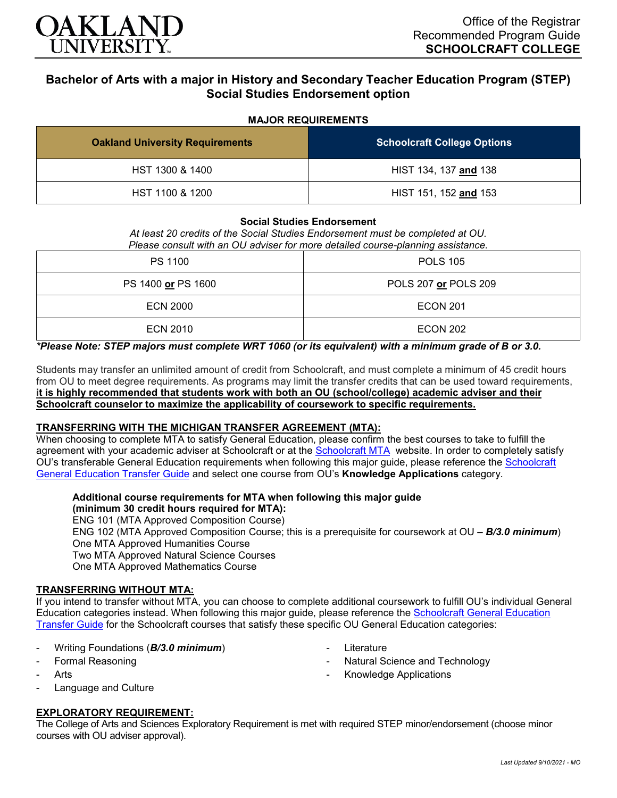

# **Bachelor of Arts with a major in History and Secondary Teacher Education Program (STEP) Social Studies Endorsement option**

#### **MAJOR REQUIREMENTS**

| <b>Oakland University Requirements</b> | <b>Schoolcraft College Options</b> |
|----------------------------------------|------------------------------------|
| HST 1300 & 1400                        | HIST 134, 137 and 138              |
| HST 1100 & 1200                        | HIST 151, 152 and 153              |

#### **Social Studies Endorsement**

*At least 20 credits of the Social Studies Endorsement must be completed at OU. Please consult with an OU adviser for more detailed course-planning assistance.*

| PS 1100            | <b>POLS 105</b>      |
|--------------------|----------------------|
| PS 1400 or PS 1600 | POLS 207 or POLS 209 |
| ECN 2000           | <b>ECON 201</b>      |
| <b>ECN 2010</b>    | <b>ECON 202</b>      |

## *\*Please Note: STEP majors must complete WRT 1060 (or its equivalent) with a minimum grade of B or 3.0.*

Students may transfer an unlimited amount of credit from Schoolcraft, and must complete a minimum of 45 credit hours from OU to meet degree requirements. As programs may limit the transfer credits that can be used toward requirements, **it is highly recommended that students work with both an OU (school/college) academic adviser and their Schoolcraft counselor to maximize the applicability of coursework to specific requirements.**

#### **TRANSFERRING WITH THE MICHIGAN TRANSFER AGREEMENT (MTA):**

When choosing to complete MTA to satisfy General Education, please confirm the best courses to take to fulfill the agreement with your academic adviser at Schoolcraft or at the [Schoolcraft MTA](https://schoolcraft.edu/academics/michigan-transfer-agreement) website. In order to completely satisfy OU's transferable General Education requirements when following this major guide, please reference the [Schoolcraft](https://www.oakland.edu/Assets/Oakland/program-guides/schoolcraft-college/university-general-education-requirements/Schoolcraft%20Gen%20Ed.pdf)  [General Education Transfer Guide](https://www.oakland.edu/Assets/Oakland/program-guides/schoolcraft-college/university-general-education-requirements/Schoolcraft%20Gen%20Ed.pdf) and select one course from OU's **Knowledge Applications** category.

#### **Additional course requirements for MTA when following this major guide**

**(minimum 30 credit hours required for MTA):**

ENG 101 (MTA Approved Composition Course)

ENG 102 (MTA Approved Composition Course; this is a prerequisite for coursework at OU *– B/3.0 minimum*) One MTA Approved Humanities Course

Two MTA Approved Natural Science Courses

One MTA Approved Mathematics Course

#### **TRANSFERRING WITHOUT MTA:**

If you intend to transfer without MTA, you can choose to complete additional coursework to fulfill OU's individual General Education categories instead. When following this major guide, please reference the [Schoolcraft General Education](https://www.oakland.edu/Assets/Oakland/program-guides/schoolcraft-college/university-general-education-requirements/Schoolcraft%20Gen%20Ed.pdf)  [Transfer Guide](https://www.oakland.edu/Assets/Oakland/program-guides/schoolcraft-college/university-general-education-requirements/Schoolcraft%20Gen%20Ed.pdf) for the Schoolcraft courses that satisfy these specific OU General Education categories:

- Writing Foundations (*B/3.0 minimum*)
- Formal Reasoning
- **Arts**
- Language and Culture

#### **EXPLORATORY REQUIREMENT:**

The College of Arts and Sciences Exploratory Requirement is met with required STEP minor/endorsement (choose minor courses with OU adviser approval).

- **Literature**
- Natural Science and Technology
- Knowledge Applications